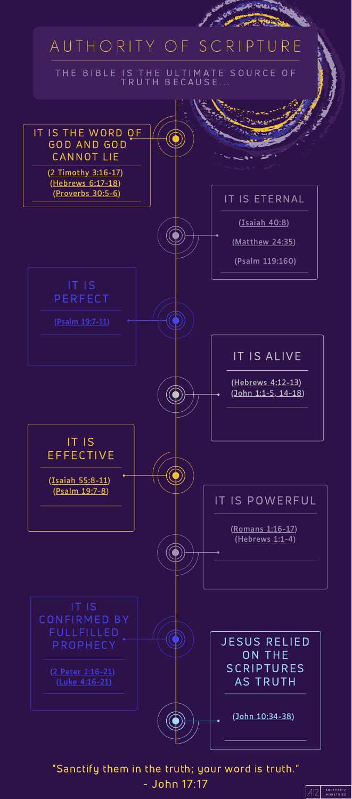# A U T H O R I T Y O F S C R I P T U R E

#### THE BIBLE IS THE ULTIMATE SOURCE OF TRUTH BECAUSE...



### "Sanctify them in the truth; your word is truth." - John 17:17

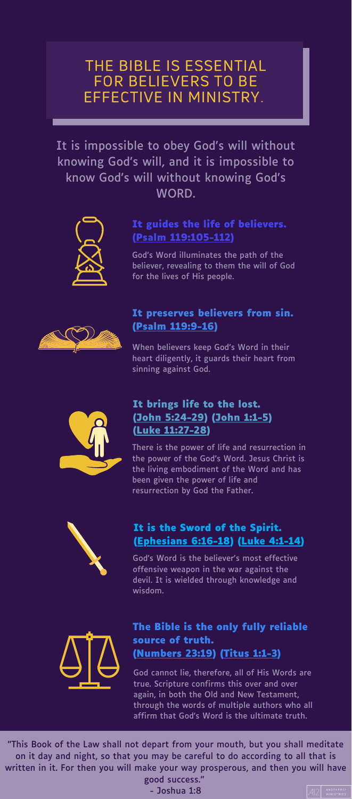THE BIBLE IS ESSENTIAL FOR BELIEVERS TO BE EFFECTIVE IN MINISTRY.

"This Book of the Law shall not depart from your mouth, but you shall meditate on it day and night, so that you may be careful to do according to all that is written in it. For then you will make your way prosperous, and then you will have good success."

- Joshua 1:8



It is impossible to obey God's will without knowing God's will, and it is impossible to know God's will without knowing God's WORD.



### **It guides the life of believers. (Psalm [119:105-112\)](https://www.biblegateway.com/passage/?search=Psalm+119%3A105-112&version=ESV)**

God's Word illuminates the path of the believer, revealing to them the will of God for the lives of His people.



### **It preserves believers from sin. (Psalm [119:9-16](https://www.biblegateway.com/passage/?search=Psalm+119%3A9-16&version=ESV))**

When believers keep God's Word in their heart diligently, it guards their heart from sinning against God.



### **It brings life to the lost. (John [5:24-29\)](https://www.biblegateway.com/passage/?search=John+5%3A24-29&version=ESV) ([John](https://www.biblegateway.com/passage/?search=John+1%3A1-5&version=ESV) 1:1-5) (Luke [11:27-28](https://www.biblegateway.com/passage/?search=Luke+11%3A27-28&version=ESV))**

There is the power of life and resurrection in the power of the God's Word. Jesus Christ is the living embodiment of the Word and has been given the power of life and resurrection by God the Father.



### **It is the Sword of the Spirit. [\(Ephesians](https://www.biblegateway.com/passage/?search=Ephesians+6%3A16-18&version=ESV) 6:16-18) (Luke [4:1-14\)](https://www.biblegateway.com/passage/?search=Luke+4%3A1-14&version=ESV)**

God's Word is the believer's most effective offensive weapon in the war against the devil. It is wielded through knowledge and wisdom.



### **The Bible is the only fully reliable source of truth. [\(Numbers](https://www.biblegateway.com/passage/?search=Numbers+23%3A19&version=ESV) 23:19) [\(Titus](https://www.biblegateway.com/passage/?search=Titus+1%3A1-3&version=ESV) 1:1-3)**

God cannot lie, therefore, all of His Words are true. Scripture confirms this over and over again, in both the Old and New Testament, through the words of multiple authors who all affirm that God's Word is the ultimate truth.